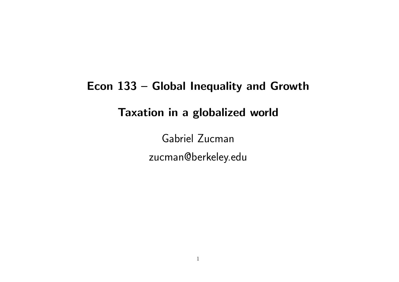# Econ 133 – Global Inequality and Growth Taxation in a globalized world

Gabriel Zucman zucman@berkeley.edu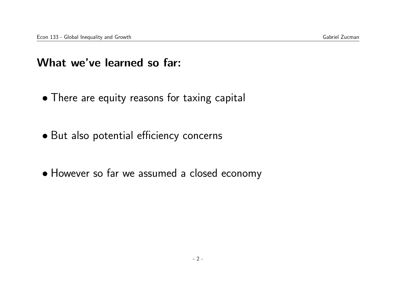### What we've learned so far:

- There are equity reasons for taxing capital
- But also potential efficiency concerns
- However so far we assumed a closed economy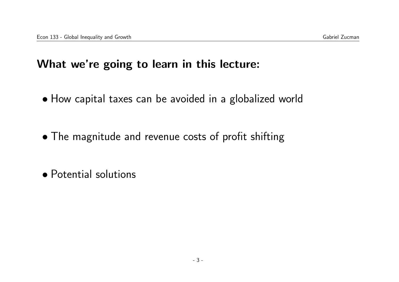### What we're going to learn in this lecture:

- How capital taxes can be avoided in a globalized world
- The magnitude and revenue costs of profit shifting
- Potential solutions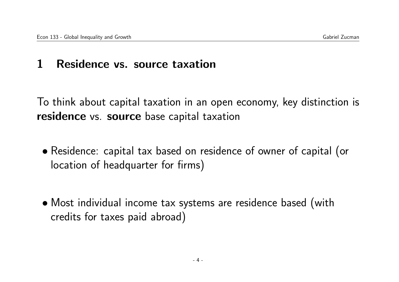### 1 Residence vs. source taxation

To think about capital taxation in an open economy, key distinction is residence vs. source base capital taxation

- Residence: capital tax based on residence of owner of capital (or location of headquarter for firms)
- Most individual income tax systems are residence based (with credits for taxes paid abroad)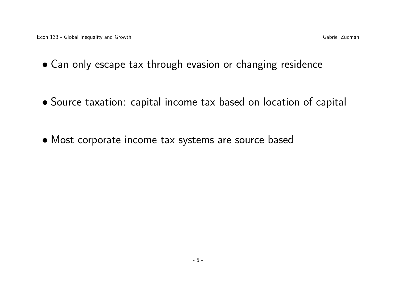- Can only escape tax through evasion or changing residence
- Source taxation: capital income tax based on location of capital
- Most corporate income tax systems are source based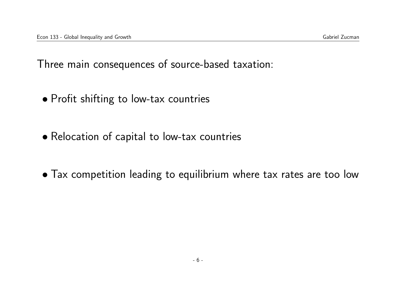Three main consequences of source-based taxation:

- Profit shifting to low-tax countries
- Relocation of capital to low-tax countries
- Tax competition leading to equilibrium where tax rates are too low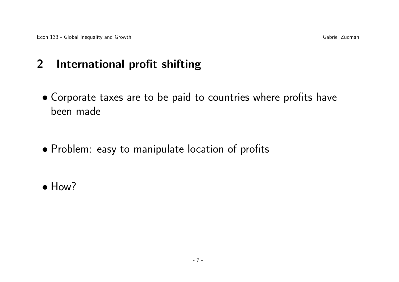### 2 International profit shifting

- Corporate taxes are to be paid to countries where profits have been made
- Problem: easy to manipulate location of profits
- How?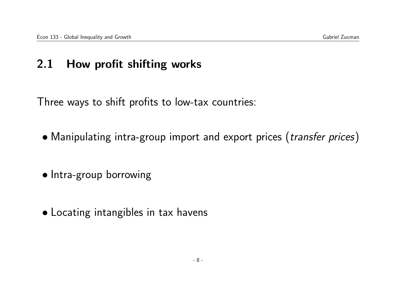### 2.1 How profit shifting works

Three ways to shift profits to low-tax countries:

- Manipulating intra-group import and export prices (*transfer prices*)
- Intra-group borrowing
- Locating intangibles in tax havens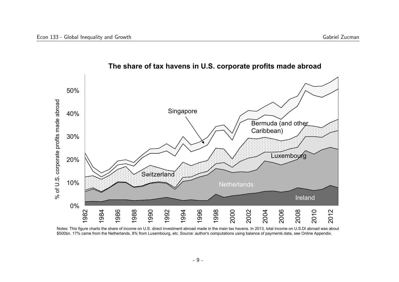

#### **The share of tax havens in U.S. corporate profits made abroad**

Notes: This figure charts the share of income on U.S. direct investment abroad made in the main tax havens. In 2013, total income on U.S.DI abroad was about \$500bn. 17% came from the Netherlands, 8% from Luxembourg, etc. Source: author's computations using balance of payments data, see Online Appendix.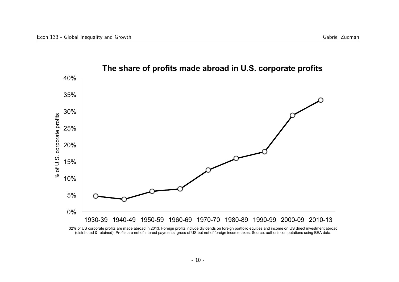

### **The share of profits made abroad in U.S. corporate profits**

32% of US corporate profits are made abroad in 2013. Foreign profits include dividends on foreign portfolio equities and income on US direct investment abroad (distributed & retained). Profits are net of interest payments, gross of US but net of foreign income taxes. Source: author's computations using BEA data.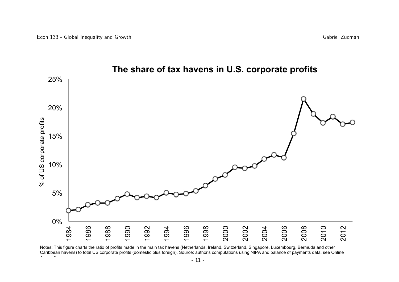

### **The share of tax havens in U.S. corporate profits**

Notes: This figure charts the ratio of profits made in the main tax havens (Netherlands, Ireland, Switzerland, Singapore, Luxembourg, Bermuda and other Caribbean havens) to total US corporate profits (domestic plus foreign). Source: author's computations using NIPA and balance of payments data, see Online Appendix.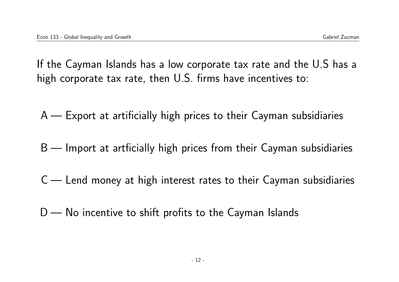If the Cayman Islands has a low corporate tax rate and the U.S has a high corporate tax rate, then U.S. firms have incentives to:

A — Export at artificially high prices to their Cayman subsidiaries

- B Import at artficially high prices from their Cayman subsidiaries
- C Lend money at high interest rates to their Cayman subsidiaries
- $D$  No incentive to shift profits to the Cayman Islands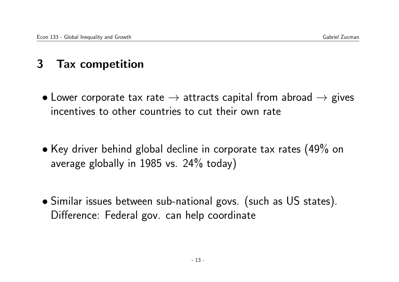### 3 Tax competition

- Lower corporate tax rate  $\rightarrow$  attracts capital from abroad  $\rightarrow$  gives incentives to other countries to cut their own rate
- Key driver behind global decline in corporate tax rates (49% on average globally in 1985 vs. 24% today)
- Similar issues between sub-national govs. (such as US states). Difference: Federal gov. can help coordinate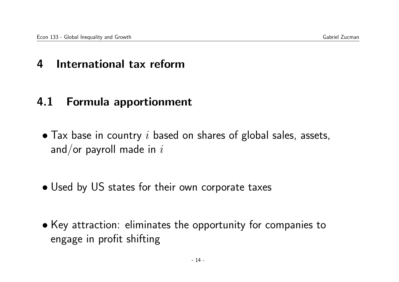### 4 International tax reform

### 4.1 Formula apportionment

- $\bullet$  Tax base in country i based on shares of global sales, assets, and/or payroll made in  $i$
- Used by US states for their own corporate taxes
- Key attraction: eliminates the opportunity for companies to engage in profit shifting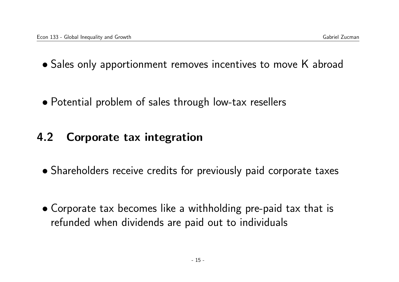- Sales only apportionment removes incentives to move K abroad
- Potential problem of sales through low-tax resellers

## 4.2 Corporate tax integration

- Shareholders receive credits for previously paid corporate taxes
- Corporate tax becomes like a withholding pre-paid tax that is refunded when dividends are paid out to individuals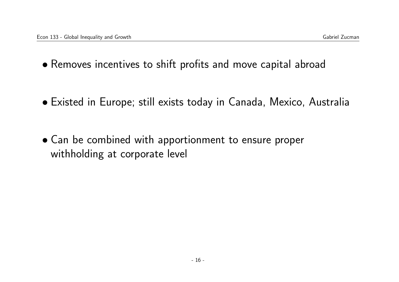- Removes incentives to shift profits and move capital abroad
- Existed in Europe; still exists today in Canada, Mexico, Australia
- Can be combined with apportionment to ensure proper withholding at corporate level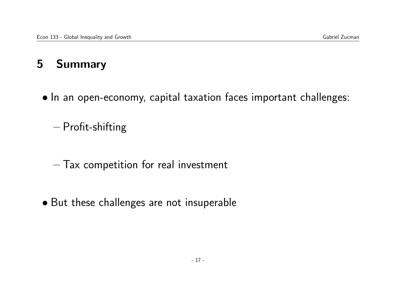# 5 Summary

• In an open-economy, capital taxation faces important challenges:

– Profit-shifting

- Tax competition for real investment
- But these challenges are not insuperable